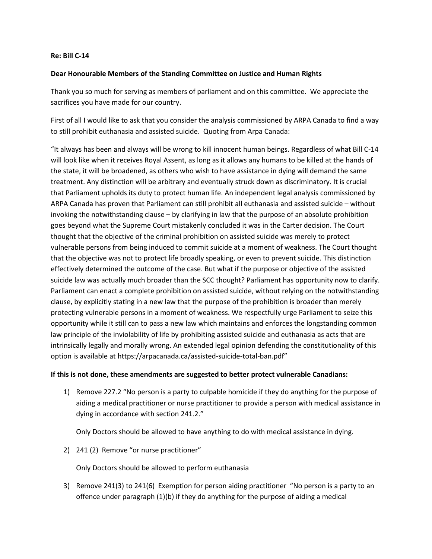## **Re: Bill C-14**

## **Dear Honourable Members of the Standing Committee on Justice and Human Rights**

Thank you so much for serving as members of parliament and on this committee. We appreciate the sacrifices you have made for our country.

First of all I would like to ask that you consider the analysis commissioned by ARPA Canada to find a way to still prohibit euthanasia and assisted suicide. Quoting from Arpa Canada:

"It always has been and always will be wrong to kill innocent human beings. Regardless of what Bill C-14 will look like when it receives Royal Assent, as long as it allows any humans to be killed at the hands of the state, it will be broadened, as others who wish to have assistance in dying will demand the same treatment. Any distinction will be arbitrary and eventually struck down as discriminatory. It is crucial that Parliament upholds its duty to protect human life. An independent legal analysis commissioned by ARPA Canada has proven that Parliament can still prohibit all euthanasia and assisted suicide – without invoking the notwithstanding clause – by clarifying in law that the purpose of an absolute prohibition goes beyond what the Supreme Court mistakenly concluded it was in the Carter decision. The Court thought that the objective of the criminal prohibition on assisted suicide was merely to protect vulnerable persons from being induced to commit suicide at a moment of weakness. The Court thought that the objective was not to protect life broadly speaking, or even to prevent suicide. This distinction effectively determined the outcome of the case. But what if the purpose or objective of the assisted suicide law was actually much broader than the SCC thought? Parliament has opportunity now to clarify. Parliament can enact a complete prohibition on assisted suicide, without relying on the notwithstanding clause, by explicitly stating in a new law that the purpose of the prohibition is broader than merely protecting vulnerable persons in a moment of weakness. We respectfully urge Parliament to seize this opportunity while it still can to pass a new law which maintains and enforces the longstanding common law principle of the inviolability of life by prohibiting assisted suicide and euthanasia as acts that are intrinsically legally and morally wrong. An extended legal opinion defending the constitutionality of this option is available at https://arpacanada.ca/assisted-suicide-total-ban.pdf"

## **If this is not done, these amendments are suggested to better protect vulnerable Canadians:**

1) Remove 227.2 "No person is a party to culpable homicide if they do anything for the purpose of aiding a medical practitioner or nurse practitioner to provide a person with medical assistance in dying in accordance with section 241.2."

Only Doctors should be allowed to have anything to do with medical assistance in dying.

2) 241 (2) Remove "or nurse practitioner"

Only Doctors should be allowed to perform euthanasia

3) Remove 241(3) to 241(6) Exemption for person aiding practitioner "No person is a party to an offence under paragraph (1)(b) if they do anything for the purpose of aiding a medical